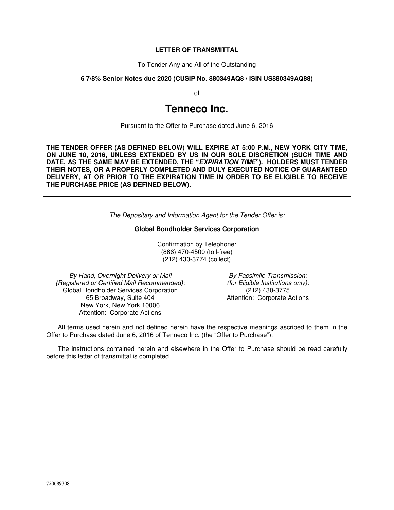## **LETTER OF TRANSMITTAL**

To Tender Any and All of the Outstanding

## **6 7/8% Senior Notes due 2020 (CUSIP No. 880349AQ8 / ISIN US880349AQ88)**

of

# **Tenneco Inc.**

Pursuant to the Offer to Purchase dated June 6, 2016

**THE TENDER OFFER (AS DEFINED BELOW) WILL EXPIRE AT 5:00 P.M., NEW YORK CITY TIME, ON JUNE 10, 2016, UNLESS EXTENDED BY US IN OUR SOLE DISCRETION (SUCH TIME AND DATE, AS THE SAME MAY BE EXTENDED, THE "EXPIRATION TIME"). HOLDERS MUST TENDER THEIR NOTES, OR A PROPERLY COMPLETED AND DULY EXECUTED NOTICE OF GUARANTEED DELIVERY, AT OR PRIOR TO THE EXPIRATION TIME IN ORDER TO BE ELIGIBLE TO RECEIVE THE PURCHASE PRICE (AS DEFINED BELOW).** 

The Depositary and Information Agent for the Tender Offer is:

#### **Global Bondholder Services Corporation**

Confirmation by Telephone: (866) 470-4500 (toll-free) (212) 430-3774 (collect)

By Hand, Overnight Delivery or Mail (Registered or Certified Mail Recommended): Global Bondholder Services Corporation (212) 430-3775<br>65 Broadway, Suite 404 (404) Attention: Corporate A New York, New York 10006 Attention: Corporate Actions

By Facsimile Transmission: (for Eligible Institutions only): Attention: Corporate Actions

All terms used herein and not defined herein have the respective meanings ascribed to them in the Offer to Purchase dated June 6, 2016 of Tenneco Inc. (the "Offer to Purchase").

The instructions contained herein and elsewhere in the Offer to Purchase should be read carefully before this letter of transmittal is completed.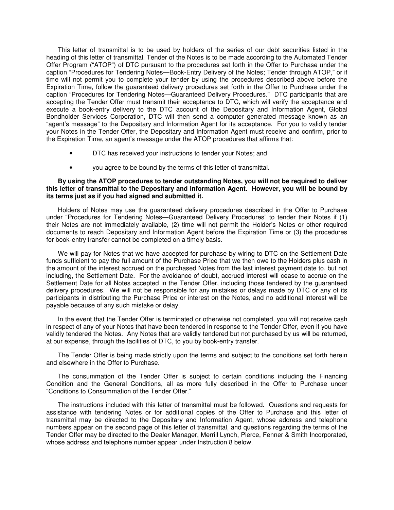This letter of transmittal is to be used by holders of the series of our debt securities listed in the heading of this letter of transmittal. Tender of the Notes is to be made according to the Automated Tender Offer Program ("ATOP") of DTC pursuant to the procedures set forth in the Offer to Purchase under the caption "Procedures for Tendering Notes—Book-Entry Delivery of the Notes; Tender through ATOP," or if time will not permit you to complete your tender by using the procedures described above before the Expiration Time, follow the guaranteed delivery procedures set forth in the Offer to Purchase under the caption "Procedures for Tendering Notes—Guaranteed Delivery Procedures." DTC participants that are accepting the Tender Offer must transmit their acceptance to DTC, which will verify the acceptance and execute a book-entry delivery to the DTC account of the Depositary and Information Agent, Global Bondholder Services Corporation, DTC will then send a computer generated message known as an "agent's message" to the Depositary and Information Agent for its acceptance. For you to validly tender your Notes in the Tender Offer, the Depositary and Information Agent must receive and confirm, prior to the Expiration Time, an agent's message under the ATOP procedures that affirms that:

- DTC has received your instructions to tender your Notes; and
- you agree to be bound by the terms of this letter of transmittal.

### **By using the ATOP procedures to tender outstanding Notes, you will not be required to deliver this letter of transmittal to the Depositary and Information Agent. However, you will be bound by its terms just as if you had signed and submitted it.**

Holders of Notes may use the guaranteed delivery procedures described in the Offer to Purchase under "Procedures for Tendering Notes—Guaranteed Delivery Procedures" to tender their Notes if (1) their Notes are not immediately available, (2) time will not permit the Holder's Notes or other required documents to reach Depositary and Information Agent before the Expiration Time or (3) the procedures for book-entry transfer cannot be completed on a timely basis.

We will pay for Notes that we have accepted for purchase by wiring to DTC on the Settlement Date funds sufficient to pay the full amount of the Purchase Price that we then owe to the Holders plus cash in the amount of the interest accrued on the purchased Notes from the last interest payment date to, but not including, the Settlement Date. For the avoidance of doubt, accrued interest will cease to accrue on the Settlement Date for all Notes accepted in the Tender Offer, including those tendered by the guaranteed delivery procedures. We will not be responsible for any mistakes or delays made by DTC or any of its participants in distributing the Purchase Price or interest on the Notes, and no additional interest will be payable because of any such mistake or delay.

In the event that the Tender Offer is terminated or otherwise not completed, you will not receive cash in respect of any of your Notes that have been tendered in response to the Tender Offer, even if you have validly tendered the Notes. Any Notes that are validly tendered but not purchased by us will be returned, at our expense, through the facilities of DTC, to you by book-entry transfer.

The Tender Offer is being made strictly upon the terms and subject to the conditions set forth herein and elsewhere in the Offer to Purchase.

The consummation of the Tender Offer is subject to certain conditions including the Financing Condition and the General Conditions, all as more fully described in the Offer to Purchase under "Conditions to Consummation of the Tender Offer."

The instructions included with this letter of transmittal must be followed. Questions and requests for assistance with tendering Notes or for additional copies of the Offer to Purchase and this letter of transmittal may be directed to the Depositary and Information Agent, whose address and telephone numbers appear on the second page of this letter of transmittal, and questions regarding the terms of the Tender Offer may be directed to the Dealer Manager, Merrill Lynch, Pierce, Fenner & Smith Incorporated, whose address and telephone number appear under Instruction 8 below.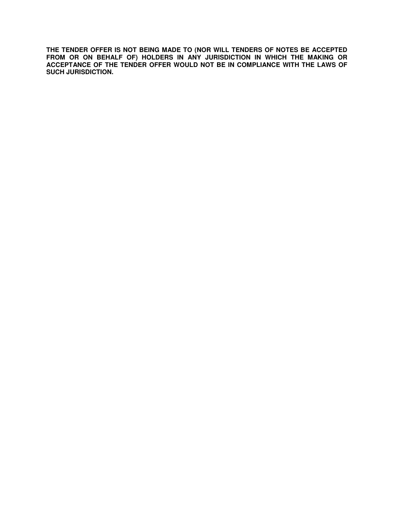**THE TENDER OFFER IS NOT BEING MADE TO (NOR WILL TENDERS OF NOTES BE ACCEPTED FROM OR ON BEHALF OF) HOLDERS IN ANY JURISDICTION IN WHICH THE MAKING OR ACCEPTANCE OF THE TENDER OFFER WOULD NOT BE IN COMPLIANCE WITH THE LAWS OF SUCH JURISDICTION.**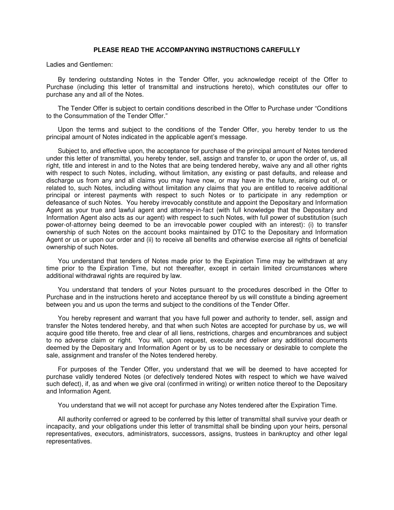## **PLEASE READ THE ACCOMPANYING INSTRUCTIONS CAREFULLY**

Ladies and Gentlemen:

By tendering outstanding Notes in the Tender Offer, you acknowledge receipt of the Offer to Purchase (including this letter of transmittal and instructions hereto), which constitutes our offer to purchase any and all of the Notes.

The Tender Offer is subject to certain conditions described in the Offer to Purchase under "Conditions to the Consummation of the Tender Offer."

Upon the terms and subject to the conditions of the Tender Offer, you hereby tender to us the principal amount of Notes indicated in the applicable agent's message.

Subject to, and effective upon, the acceptance for purchase of the principal amount of Notes tendered under this letter of transmittal, you hereby tender, sell, assign and transfer to, or upon the order of, us, all right, title and interest in and to the Notes that are being tendered hereby, waive any and all other rights with respect to such Notes, including, without limitation, any existing or past defaults, and release and discharge us from any and all claims you may have now, or may have in the future, arising out of, or related to, such Notes, including without limitation any claims that you are entitled to receive additional principal or interest payments with respect to such Notes or to participate in any redemption or defeasance of such Notes. You hereby irrevocably constitute and appoint the Depositary and Information Agent as your true and lawful agent and attorney-in-fact (with full knowledge that the Depositary and Information Agent also acts as our agent) with respect to such Notes, with full power of substitution (such power-of-attorney being deemed to be an irrevocable power coupled with an interest): (i) to transfer ownership of such Notes on the account books maintained by DTC to the Depositary and Information Agent or us or upon our order and (ii) to receive all benefits and otherwise exercise all rights of beneficial ownership of such Notes.

You understand that tenders of Notes made prior to the Expiration Time may be withdrawn at any time prior to the Expiration Time, but not thereafter, except in certain limited circumstances where additional withdrawal rights are required by law.

You understand that tenders of your Notes pursuant to the procedures described in the Offer to Purchase and in the instructions hereto and acceptance thereof by us will constitute a binding agreement between you and us upon the terms and subject to the conditions of the Tender Offer.

You hereby represent and warrant that you have full power and authority to tender, sell, assign and transfer the Notes tendered hereby, and that when such Notes are accepted for purchase by us, we will acquire good title thereto, free and clear of all liens, restrictions, charges and encumbrances and subject to no adverse claim or right. You will, upon request, execute and deliver any additional documents deemed by the Depositary and Information Agent or by us to be necessary or desirable to complete the sale, assignment and transfer of the Notes tendered hereby.

For purposes of the Tender Offer, you understand that we will be deemed to have accepted for purchase validly tendered Notes (or defectively tendered Notes with respect to which we have waived such defect), if, as and when we give oral (confirmed in writing) or written notice thereof to the Depositary and Information Agent.

You understand that we will not accept for purchase any Notes tendered after the Expiration Time.

All authority conferred or agreed to be conferred by this letter of transmittal shall survive your death or incapacity, and your obligations under this letter of transmittal shall be binding upon your heirs, personal representatives, executors, administrators, successors, assigns, trustees in bankruptcy and other legal representatives.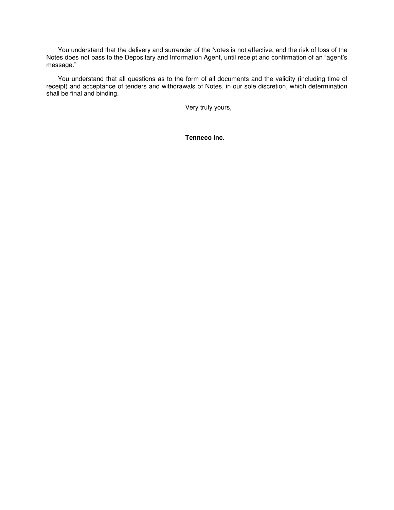You understand that the delivery and surrender of the Notes is not effective, and the risk of loss of the Notes does not pass to the Depositary and Information Agent, until receipt and confirmation of an "agent's message."

You understand that all questions as to the form of all documents and the validity (including time of receipt) and acceptance of tenders and withdrawals of Notes, in our sole discretion, which determination shall be final and binding.

Very truly yours,

**Tenneco Inc.**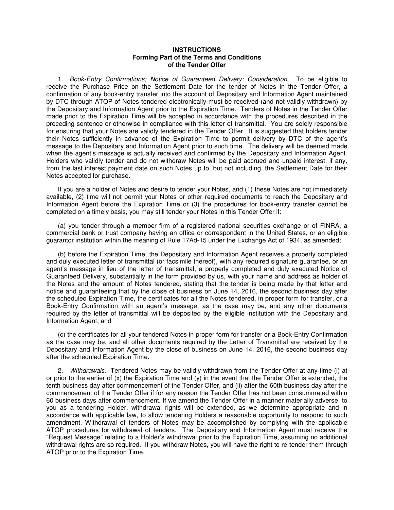#### **INSTRUCTIONS Forming Part of the Terms and Conditions of the Tender Offer**

1. Book-Entry Confirmations; Notice of Guaranteed Delivery; Consideration. To be eligible to receive the Purchase Price on the Settlement Date for the tender of Notes in the Tender Offer, a confirmation of any book-entry transfer into the account of Depositary and Information Agent maintained by DTC through ATOP of Notes tendered electronically must be received (and not validly withdrawn) by the Depositary and Information Agent prior to the Expiration Time. Tenders of Notes in the Tender Offer made prior to the Expiration Time will be accepted in accordance with the procedures described in the preceding sentence or otherwise in compliance with this letter of transmittal. You are solely responsible for ensuring that your Notes are validly tendered in the Tender Offer. It is suggested that holders tender their Notes sufficiently in advance of the Expiration Time to permit delivery by DTC of the agent's message to the Depositary and Information Agent prior to such time. The delivery will be deemed made when the agent's message is actually received and confirmed by the Depositary and Information Agent. Holders who validly tender and do not withdraw Notes will be paid accrued and unpaid interest, if any, from the last interest payment date on such Notes up to, but not including, the Settlement Date for their Notes accepted for purchase.

If you are a holder of Notes and desire to tender your Notes, and (1) these Notes are not immediately available, (2) time will not permit your Notes or other required documents to reach the Depositary and Information Agent before the Expiration Time or (3) the procedures for book-entry transfer cannot be completed on a timely basis, you may still tender your Notes in this Tender Offer if:

(a) you tender through a member firm of a registered national securities exchange or of FINRA, a commercial bank or trust company having an office or correspondent in the United States, or an eligible guarantor institution within the meaning of Rule 17Ad-15 under the Exchange Act of 1934, as amended;

(b) before the Expiration Time, the Depositary and Information Agent receives a properly completed and duly executed letter of transmittal (or facsimile thereof), with any required signature guarantee, or an agent's message in lieu of the letter of transmittal, a properly completed and duly executed Notice of Guaranteed Delivery, substantially in the form provided by us, with your name and address as holder of the Notes and the amount of Notes tendered, stating that the tender is being made by that letter and notice and guaranteeing that by the close of business on June 14, 2016, the second business day after the scheduled Expiration Time, the certificates for all the Notes tendered, in proper form for transfer, or a Book-Entry Confirmation with an agent's message, as the case may be, and any other documents required by the letter of transmittal will be deposited by the eligible institution with the Depositary and Information Agent; and

(c) the certificates for all your tendered Notes in proper form for transfer or a Book-Entry Confirmation as the case may be, and all other documents required by the Letter of Transmittal are received by the Depositary and Information Agent by the close of business on June 14, 2016, the second business day after the scheduled Expiration Time.

2. Withdrawals. Tendered Notes may be validly withdrawn from the Tender Offer at any time (i) at or prior to the earlier of (x) the Expiration Time and (y) in the event that the Tender Offer is extended, the tenth business day after commencement of the Tender Offer, and (ii) after the 60th business day after the commencement of the Tender Offer if for any reason the Tender Offer has not been consummated within 60 business days after commencement. If we amend the Tender Offer in a manner materially adverse to you as a tendering Holder, withdrawal rights will be extended, as we determine appropriate and in accordance with applicable law, to allow tendering Holders a reasonable opportunity to respond to such amendment. Withdrawal of tenders of Notes may be accomplished by complying with the applicable ATOP procedures for withdrawal of tenders. The Depositary and Information Agent must receive the "Request Message" relating to a Holder's withdrawal prior to the Expiration Time, assuming no additional withdrawal rights are so required. If you withdraw Notes, you will have the right to re-tender them through ATOP prior to the Expiration Time.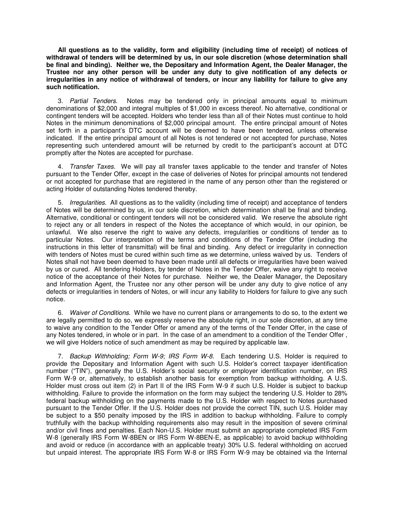**All questions as to the validity, form and eligibility (including time of receipt) of notices of withdrawal of tenders will be determined by us, in our sole discretion (whose determination shall be final and binding). Neither we, the Depositary and Information Agent, the Dealer Manager, the Trustee nor any other person will be under any duty to give notification of any defects or irregularities in any notice of withdrawal of tenders, or incur any liability for failure to give any such notification.** 

3. Partial Tenders. Notes may be tendered only in principal amounts equal to minimum denominations of \$2,000 and integral multiples of \$1,000 in excess thereof. No alternative, conditional or contingent tenders will be accepted. Holders who tender less than all of their Notes must continue to hold Notes in the minimum denominations of \$2,000 principal amount. The entire principal amount of Notes set forth in a participant's DTC account will be deemed to have been tendered, unless otherwise indicated. If the entire principal amount of all Notes is not tendered or not accepted for purchase, Notes representing such untendered amount will be returned by credit to the participant's account at DTC promptly after the Notes are accepted for purchase.

4. Transfer Taxes. We will pay all transfer taxes applicable to the tender and transfer of Notes pursuant to the Tender Offer, except in the case of deliveries of Notes for principal amounts not tendered or not accepted for purchase that are registered in the name of any person other than the registered or acting Holder of outstanding Notes tendered thereby.

5. Irregularities. All questions as to the validity (including time of receipt) and acceptance of tenders of Notes will be determined by us, in our sole discretion, which determination shall be final and binding. Alternative, conditional or contingent tenders will not be considered valid. We reserve the absolute right to reject any or all tenders in respect of the Notes the acceptance of which would, in our opinion, be unlawful. We also reserve the right to waive any defects, irregularities or conditions of tender as to particular Notes. Our interpretation of the terms and conditions of the Tender Offer (including the instructions in this letter of transmittal) will be final and binding. Any defect or irregularity in connection with tenders of Notes must be cured within such time as we determine, unless waived by us. Tenders of Notes shall not have been deemed to have been made until all defects or irregularities have been waived by us or cured. All tendering Holders, by tender of Notes in the Tender Offer, waive any right to receive notice of the acceptance of their Notes for purchase. Neither we, the Dealer Manager, the Depositary and Information Agent, the Trustee nor any other person will be under any duty to give notice of any defects or irregularities in tenders of Notes, or will incur any liability to Holders for failure to give any such notice.

6. Waiver of Conditions. While we have no current plans or arrangements to do so, to the extent we are legally permitted to do so, we expressly reserve the absolute right, in our sole discretion, at any time to waive any condition to the Tender Offer or amend any of the terms of the Tender Offer, in the case of any Notes tendered, in whole or in part. In the case of an amendment to a condition of the Tender Offer , we will give Holders notice of such amendment as may be required by applicable law.

7. Backup Withholding; Form W-9; IRS Form W-8. Each tendering U.S. Holder is required to provide the Depositary and Information Agent with such U.S. Holder's correct taxpayer identification number ("TIN"), generally the U.S. Holder's social security or employer identification number, on IRS Form W-9 or, alternatively, to establish another basis for exemption from backup withholding. A U.S. Holder must cross out item (2) in Part II of the IRS Form W-9 if such U.S. Holder is subject to backup withholding. Failure to provide the information on the form may subject the tendering U.S. Holder to 28% federal backup withholding on the payments made to the U.S. Holder with respect to Notes purchased pursuant to the Tender Offer. If the U.S. Holder does not provide the correct TIN, such U.S. Holder may be subject to a \$50 penalty imposed by the IRS in addition to backup withholding. Failure to comply truthfully with the backup withholding requirements also may result in the imposition of severe criminal and/or civil fines and penalties. Each Non-U.S. Holder must submit an appropriate completed IRS Form W-8 (generally IRS Form W-8BEN or IRS Form W-8BEN-E, as applicable) to avoid backup withholding and avoid or reduce (in accordance with an applicable treaty) 30% U.S. federal withholding on accrued but unpaid interest. The appropriate IRS Form W-8 or IRS Form W-9 may be obtained via the Internal